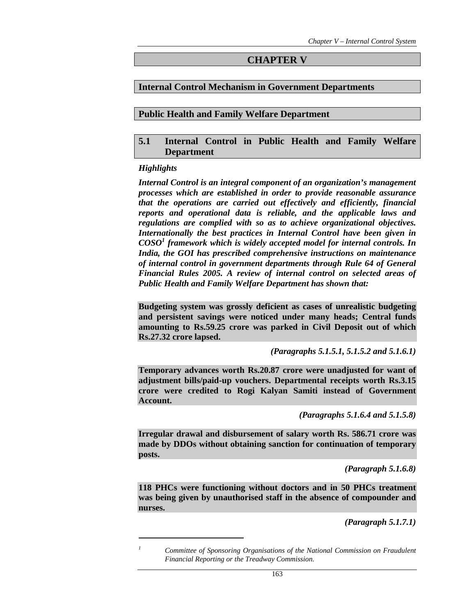### **CHAPTER V**

### **Internal Control Mechanism in Government Departments**

### **Public Health and Family Welfare Department**

### **5.1 Internal Control in Public Health and Family Welfare Department**

#### *Highlights*

 $\overline{a}$ *1*

*Internal Control is an integral component of an organization's management processes which are established in order to provide reasonable assurance that the operations are carried out effectively and efficiently, financial reports and operational data is reliable, and the applicable laws and regulations are complied with so as to achieve organizational objectives. Internationally the best practices in Internal Control have been given in COSO<sup>1</sup> framework which is widely accepted model for internal controls. In India, the GOI has prescribed comprehensive instructions on maintenance of internal control in government departments through Rule 64 of General Financial Rules 2005. A review of internal control on selected areas of Public Health and Family Welfare Department has shown that:* 

**Budgeting system was grossly deficient as cases of unrealistic budgeting and persistent savings were noticed under many heads; Central funds amounting to Rs.59.25 crore was parked in Civil Deposit out of which Rs.27.32 crore lapsed.** 

*(Paragraphs 5.1.5.1, 5.1.5.2 and 5.1.6.1)* 

**Temporary advances worth Rs.20.87 crore were unadjusted for want of adjustment bills/paid-up vouchers. Departmental receipts worth Rs.3.15 crore were credited to Rogi Kalyan Samiti instead of Government Account.** 

*(Paragraphs 5.1.6.4 and 5.1.5.8)* 

**Irregular drawal and disbursement of salary worth Rs. 586.71 crore was made by DDOs without obtaining sanction for continuation of temporary posts.** 

*(Paragraph 5.1.6.8)* 

**118 PHCs were functioning without doctors and in 50 PHCs treatment was being given by unauthorised staff in the absence of compounder and nurses.** 

*(Paragraph 5.1.7.1)* 

*Committee of Sponsoring Organisations of the National Commission on Fraudulent Financial Reporting or the Treadway Commission.*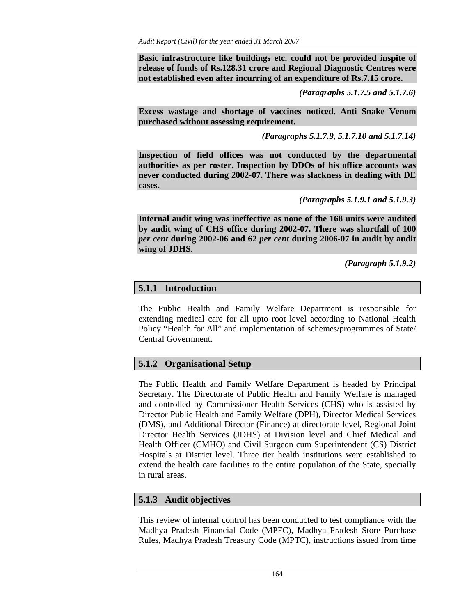**Basic infrastructure like buildings etc. could not be provided inspite of release of funds of Rs.128.31 crore and Regional Diagnostic Centres were not established even after incurring of an expenditure of Rs.7.15 crore.** 

*(Paragraphs 5.1.7.5 and 5.1.7.6)* 

**Excess wastage and shortage of vaccines noticed. Anti Snake Venom purchased without assessing requirement.** 

*(Paragraphs 5.1.7.9, 5.1.7.10 and 5.1.7.14)* 

**Inspection of field offices was not conducted by the departmental authorities as per roster. Inspection by DDOs of his office accounts was never conducted during 2002-07. There was slackness in dealing with DE cases.** 

*(Paragraphs 5.1.9.1 and 5.1.9.3)* 

**Internal audit wing was ineffective as none of the 168 units were audited by audit wing of CHS office during 2002-07. There was shortfall of 100**  *per cent* **during 2002-06 and 62** *per cent* **during 2006-07 in audit by audit wing of JDHS.** 

*(Paragraph 5.1.9.2)* 

# **5.1.1 Introduction**

The Public Health and Family Welfare Department is responsible for extending medical care for all upto root level according to National Health Policy "Health for All" and implementation of schemes/programmes of State/ Central Government.

# **5.1.2 Organisational Setup**

The Public Health and Family Welfare Department is headed by Principal Secretary. The Directorate of Public Health and Family Welfare is managed and controlled by Commissioner Health Services (CHS) who is assisted by Director Public Health and Family Welfare (DPH), Director Medical Services (DMS), and Additional Director (Finance) at directorate level, Regional Joint Director Health Services (JDHS) at Division level and Chief Medical and Health Officer (CMHO) and Civil Surgeon cum Superintendent (CS) District Hospitals at District level. Three tier health institutions were established to extend the health care facilities to the entire population of the State, specially in rural areas.

# **5.1.3 Audit objectives**

This review of internal control has been conducted to test compliance with the Madhya Pradesh Financial Code (MPFC), Madhya Pradesh Store Purchase Rules, Madhya Pradesh Treasury Code (MPTC), instructions issued from time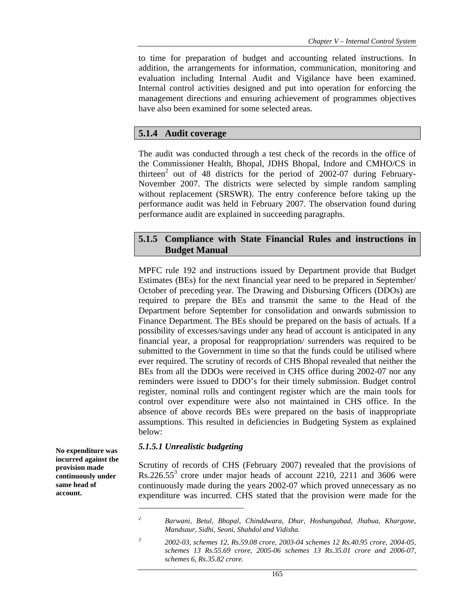to time for preparation of budget and accounting related instructions. In addition, the arrangements for information, communication, monitoring and evaluation including Internal Audit and Vigilance have been examined. Internal control activities designed and put into operation for enforcing the management directions and ensuring achievement of programmes objectives have also been examined for some selected areas.

### **5.1.4 Audit coverage**

The audit was conducted through a test check of the records in the office of the Commissioner Health, Bhopal, JDHS Bhopal, Indore and CMHO/CS in thirteen<sup>2</sup> out of 48 districts for the period of 2002-07 during February-November 2007. The districts were selected by simple random sampling without replacement (SRSWR). The entry conference before taking up the performance audit was held in February 2007. The observation found during performance audit are explained in succeeding paragraphs.

# **5.1.5 Compliance with State Financial Rules and instructions in Budget Manual**

MPFC rule 192 and instructions issued by Department provide that Budget Estimates (BEs) for the next financial year need to be prepared in September/ October of preceding year. The Drawing and Disbursing Officers (DDOs) are required to prepare the BEs and transmit the same to the Head of the Department before September for consolidation and onwards submission to Finance Department. The BEs should be prepared on the basis of actuals. If a possibility of excesses/savings under any head of account is anticipated in any financial year, a proposal for reappropriation/ surrenders was required to be submitted to the Government in time so that the funds could be utilised where ever required. The scrutiny of records of CHS Bhopal revealed that neither the BEs from all the DDOs were received in CHS office during 2002-07 nor any reminders were issued to DDO's for their timely submission. Budget control register, nominal rolls and contingent register which are the main tools for control over expenditure were also not maintained in CHS office. In the absence of above records BEs were prepared on the basis of inappropriate assumptions. This resulted in deficiencies in Budgeting System as explained below:

### *5.1.5.1 Unrealistic budgeting*

Scrutiny of records of CHS (February 2007) revealed that the provisions of  $Rs.226.55<sup>3</sup>$  crore under major heads of account 2210, 2211 and 3606 were continuously made during the years 2002-07 which proved unnecessary as no expenditure was incurred. CHS stated that the provision were made for the

**No expenditure was incurred against the provision made continuously under same head of account.** 

*<sup>2</sup> Barwani, Betul, Bhopal, Chinddwara, Dhar, Hoshangabad, Jhabua, Khargone, Mandsaur, Sidhi, Seoni, Shahdol and Vidisha.* 

*<sup>3</sup> 2002-03, schemes 12, Rs.59.08 crore, 2003-04 schemes 12 Rs.40.95 crore, 2004-05, schemes 13 Rs.55.69 crore, 2005-06 schemes 13 Rs.35.01 crore and 2006-07, schemes 6, Rs.35.82 crore.*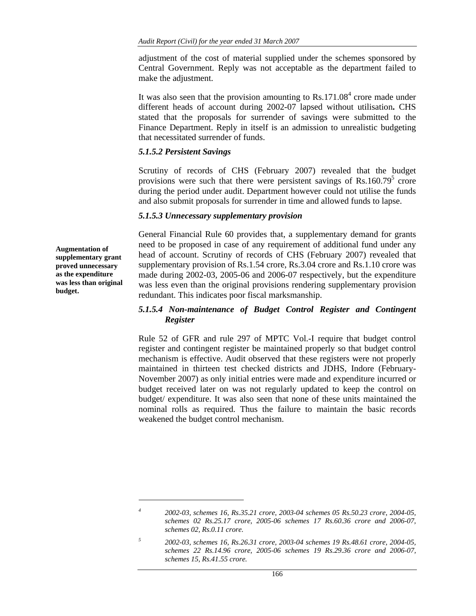adjustment of the cost of material supplied under the schemes sponsored by Central Government. Reply was not acceptable as the department failed to make the adjustment.

It was also seen that the provision amounting to  $Rs.171.08<sup>4</sup>$  crore made under different heads of account during 2002-07 lapsed without utilisation**.** CHS stated that the proposals for surrender of savings were submitted to the Finance Department. Reply in itself is an admission to unrealistic budgeting that necessitated surrender of funds.

### *5.1.5.2 Persistent Savings*

Scrutiny of records of CHS (February 2007) revealed that the budget provisions were such that there were persistent savings of  $\text{Rs}.160.79^5$  crore during the period under audit. Department however could not utilise the funds and also submit proposals for surrender in time and allowed funds to lapse.

### *5.1.5.3 Unnecessary supplementary provision*

General Financial Rule 60 provides that, a supplementary demand for grants need to be proposed in case of any requirement of additional fund under any head of account. Scrutiny of records of CHS (February 2007) revealed that supplementary provision of Rs.1.54 crore, Rs.3.04 crore and Rs.1.10 crore was made during 2002-03, 2005-06 and 2006-07 respectively, but the expenditure was less even than the original provisions rendering supplementary provision redundant. This indicates poor fiscal marksmanship.

### *5.1.5.4 Non-maintenance of Budget Control Register and Contingent Register*

Rule 52 of GFR and rule 297 of MPTC Vol.-I require that budget control register and contingent register be maintained properly so that budget control mechanism is effective. Audit observed that these registers were not properly maintained in thirteen test checked districts and JDHS, Indore (February-November 2007) as only initial entries were made and expenditure incurred or budget received later on was not regularly updated to keep the control on budget/ expenditure. It was also seen that none of these units maintained the nominal rolls as required. Thus the failure to maintain the basic records weakened the budget control mechanism.

**Augmentation of supplementary grant proved unnecessary as the expenditure was less than original budget.** 

*<sup>4</sup> 2002-03, schemes 16, Rs.35.21 crore, 2003-04 schemes 05 Rs.50.23 crore, 2004-05, schemes 02 Rs.25.17 crore, 2005-06 schemes 17 Rs.60.36 crore and 2006-07, schemes 02, Rs.0.11 crore.* 

*<sup>5</sup> 2002-03, schemes 16, Rs.26.31 crore, 2003-04 schemes 19 Rs.48.61 crore, 2004-05, schemes 22 Rs.14.96 crore, 2005-06 schemes 19 Rs.29.36 crore and 2006-07, schemes 15, Rs.41.55 crore.*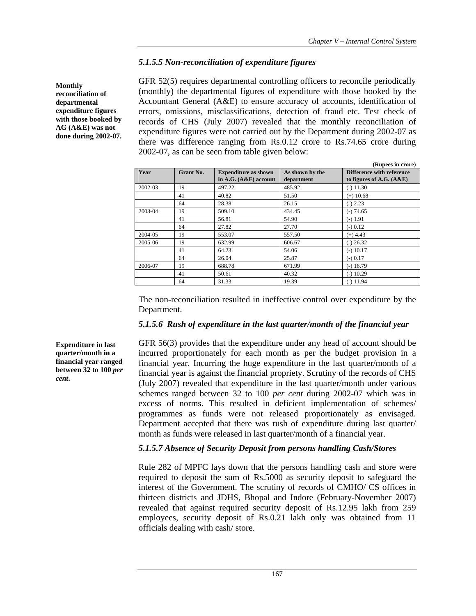# *5.1.5.5 Non-reconciliation of expenditure figures*

GFR 52(5) requires departmental controlling officers to reconcile periodically (monthly) the departmental figures of expenditure with those booked by the Accountant General (A&E) to ensure accuracy of accounts, identification of errors, omissions, misclassifications, detection of fraud etc. Test check of records of CHS (July 2007) revealed that the monthly reconciliation of expenditure figures were not carried out by the Department during 2002-07 as there was difference ranging from Rs.0.12 crore to Rs.74.65 crore during 2002-07, as can be seen from table given below:

|         |           |                                                        |                               | (Rupees in crore)                                              |
|---------|-----------|--------------------------------------------------------|-------------------------------|----------------------------------------------------------------|
| Year    | Grant No. | <b>Expenditure as shown</b><br>in A.G. $(A&E)$ account | As shown by the<br>department | <b>Difference with reference</b><br>to figures of A.G. $(A&E)$ |
| 2002-03 | 19        | 497.22                                                 | 485.92                        | $(-) 11.30$                                                    |
|         | 41        | 40.82                                                  | 51.50                         | $(+)$ 10.68                                                    |
|         | 64        | 28.38                                                  | 26.15                         | $(-) 2.23$                                                     |
| 2003-04 | 19        | 509.10                                                 | 434.45                        | $(-) 74.65$                                                    |
|         | 41        | 56.81                                                  | 54.90                         | $(-) 1.91$                                                     |
|         | 64        | 27.82                                                  | 27.70                         | $(-) 0.12$                                                     |
| 2004-05 | 19        | 553.07                                                 | 557.50                        | $(+)$ 4.43                                                     |
| 2005-06 | 19        | 632.99                                                 | 606.67                        | $(-)$ 26.32                                                    |
|         | 41        | 64.23                                                  | 54.06                         | $(-)$ 10.17                                                    |
|         | 64        | 26.04                                                  | 25.87                         | $(-) 0.17$                                                     |
| 2006-07 | 19        | 688.78                                                 | 671.99                        | $(-)$ 16.79                                                    |
|         | 41        | 50.61                                                  | 40.32                         | $(-) 10.29$                                                    |
|         | 64        | 31.33                                                  | 19.39                         | $(-)$ 11.94                                                    |

**Monthly reconciliation of departmental expenditure figures with those booked by AG (A&E) was not done during 2002-07.** 

> The non-reconciliation resulted in ineffective control over expenditure by the Department.

# *5.1.5.6 Rush of expenditure in the last quarter/month of the financial year*

GFR 56(3) provides that the expenditure under any head of account should be incurred proportionately for each month as per the budget provision in a financial year. Incurring the huge expenditure in the last quarter/month of a financial year is against the financial propriety. Scrutiny of the records of CHS (July 2007) revealed that expenditure in the last quarter/month under various schemes ranged between 32 to 100 *per cent* during 2002-07 which was in excess of norms. This resulted in deficient implementation of schemes/ programmes as funds were not released proportionately as envisaged. Department accepted that there was rush of expenditure during last quarter/ month as funds were released in last quarter/month of a financial year.

# *5.1.5.7 Absence of Security Deposit from persons handling Cash/Stores*

Rule 282 of MPFC lays down that the persons handling cash and store were required to deposit the sum of Rs.5000 as security deposit to safeguard the interest of the Government. The scrutiny of records of CMHO/ CS offices in thirteen districts and JDHS, Bhopal and Indore (February-November 2007) revealed that against required security deposit of Rs.12.95 lakh from 259 employees, security deposit of Rs.0.21 lakh only was obtained from 11 officials dealing with cash/ store.

**Expenditure in last quarter/month in a financial year ranged between 32 to 100** *per cent***.**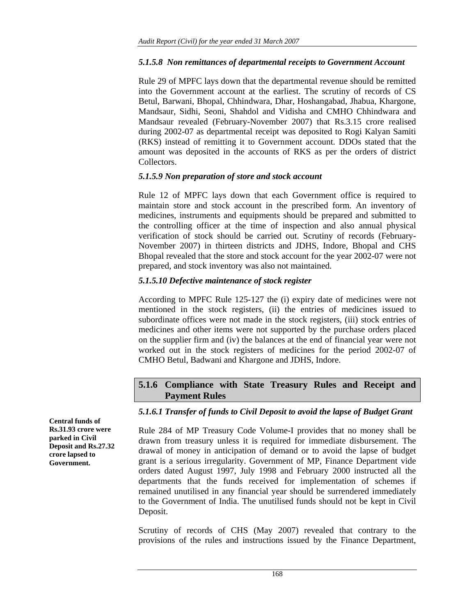### *5.1.5.8 Non remittances of departmental receipts to Government Account*

Rule 29 of MPFC lays down that the departmental revenue should be remitted into the Government account at the earliest. The scrutiny of records of CS Betul, Barwani, Bhopal, Chhindwara, Dhar, Hoshangabad, Jhabua, Khargone, Mandsaur, Sidhi, Seoni, Shahdol and Vidisha and CMHO Chhindwara and Mandsaur revealed (February-November 2007) that Rs.3.15 crore realised during 2002-07 as departmental receipt was deposited to Rogi Kalyan Samiti (RKS) instead of remitting it to Government account. DDOs stated that the amount was deposited in the accounts of RKS as per the orders of district Collectors.

### *5.1.5.9 Non preparation of store and stock account*

Rule 12 of MPFC lays down that each Government office is required to maintain store and stock account in the prescribed form. An inventory of medicines, instruments and equipments should be prepared and submitted to the controlling officer at the time of inspection and also annual physical verification of stock should be carried out. Scrutiny of records (February-November 2007) in thirteen districts and JDHS, Indore, Bhopal and CHS Bhopal revealed that the store and stock account for the year 2002-07 were not prepared, and stock inventory was also not maintained.

### *5.1.5.10 Defective maintenance of stock register*

According to MPFC Rule 125-127 the (i) expiry date of medicines were not mentioned in the stock registers, (ii) the entries of medicines issued to subordinate offices were not made in the stock registers, (iii) stock entries of medicines and other items were not supported by the purchase orders placed on the supplier firm and (iv) the balances at the end of financial year were not worked out in the stock registers of medicines for the period 2002-07 of CMHO Betul, Badwani and Khargone and JDHS, Indore.

# **5.1.6 Compliance with State Treasury Rules and Receipt and Payment Rules**

# *5.1.6.1 Transfer of funds to Civil Deposit to avoid the lapse of Budget Grant*

Rule 284 of MP Treasury Code Volume-I provides that no money shall be drawn from treasury unless it is required for immediate disbursement. The drawal of money in anticipation of demand or to avoid the lapse of budget grant is a serious irregularity. Government of MP, Finance Department vide orders dated August 1997, July 1998 and February 2000 instructed all the departments that the funds received for implementation of schemes if remained unutilised in any financial year should be surrendered immediately to the Government of India. The unutilised funds should not be kept in Civil Deposit.

Scrutiny of records of CHS (May 2007) revealed that contrary to the provisions of the rules and instructions issued by the Finance Department,

**Central funds of Rs.31.93 crore were parked in Civil Deposit and Rs.27.32 crore lapsed to Government.**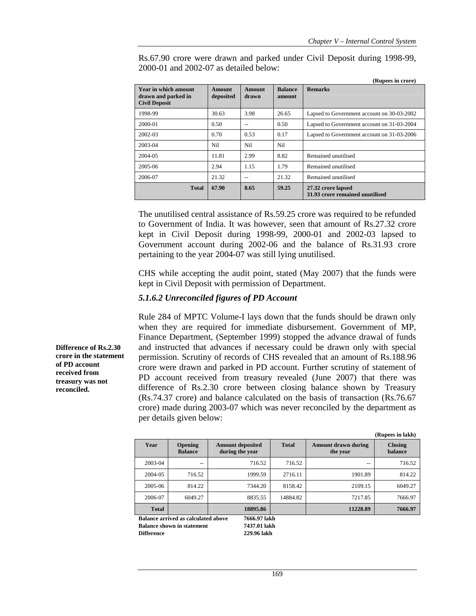|                                                                     |                            |                        |                          | (Rupees in crore)                                     |
|---------------------------------------------------------------------|----------------------------|------------------------|--------------------------|-------------------------------------------------------|
| Year in which amount<br>drawn and parked in<br><b>Civil Deposit</b> | <b>Amount</b><br>deposited | <b>Amount</b><br>drawn | <b>Balance</b><br>amount | <b>Remarks</b>                                        |
| 1998-99                                                             | 30.63                      | 3.98                   | 26.65                    | Lapsed to Government account on 30-03-2002            |
| 2000-01                                                             | 0.50                       | --                     | 0.50                     | Lapsed to Government account on 31-03-2004            |
| 2002-03                                                             | 0.70                       | 0.53                   | 0.17                     | Lapsed to Government account on 31-03-2006            |
| 2003-04                                                             | Ni1                        | Nil                    | Ni1                      |                                                       |
| 2004-05                                                             | 11.81                      | 2.99                   | 8.82                     | Remained unutilised                                   |
| 2005-06                                                             | 2.94                       | 1.15                   | 1.79                     | Remained unutilised                                   |
| 2006-07                                                             | 21.32                      | --                     | 21.32                    | Remained unutilised                                   |
| <b>Total</b>                                                        | 67.90                      | 8.65                   | 59.25                    | 27.32 crore lapsed<br>31.93 crore remained unutilised |

Rs.67.90 crore were drawn and parked under Civil Deposit during 1998-99, 2000-01 and 2002-07 as detailed below:

The unutilised central assistance of Rs.59.25 crore was required to be refunded to Government of India. It was however, seen that amount of Rs.27.32 crore kept in Civil Deposit during 1998-99, 2000-01 and 2002-03 lapsed to Government account during 2002-06 and the balance of Rs.31.93 crore pertaining to the year 2004-07 was still lying unutilised.

CHS while accepting the audit point, stated (May 2007) that the funds were kept in Civil Deposit with permission of Department.

### *5.1.6.2 Unreconciled figures of PD Account*

Rule 284 of MPTC Volume-I lays down that the funds should be drawn only when they are required for immediate disbursement. Government of MP, Finance Department, (September 1999) stopped the advance drawal of funds and instructed that advances if necessary could be drawn only with special permission. Scrutiny of records of CHS revealed that an amount of Rs.188.96 crore were drawn and parked in PD account. Further scrutiny of statement of PD account received from treasury revealed (June 2007) that there was difference of Rs.2.30 crore between closing balance shown by Treasury (Rs.74.37 crore) and balance calculated on the basis of transaction (Rs.76.67 crore) made during 2003-07 which was never reconciled by the department as per details given below:

|                                                     |                                  |                                            |              |                                        | (Rupees in lakh)                 |  |
|-----------------------------------------------------|----------------------------------|--------------------------------------------|--------------|----------------------------------------|----------------------------------|--|
| Year                                                | <b>Opening</b><br><b>Balance</b> | <b>Amount deposited</b><br>during the year | <b>Total</b> | <b>Amount drawn during</b><br>the year | <b>Closing</b><br><b>balance</b> |  |
| 2003-04                                             | $-$                              | 716.52                                     | 716.52       | $-$                                    | 716.52                           |  |
| 2004-05                                             | 716.52                           | 1999.59                                    | 2716.11      | 1901.89                                | 814.22                           |  |
| 2005-06                                             | 814.22                           | 7344.20                                    | 8158.42      | 2109.15                                | 6049.27                          |  |
| 2006-07                                             | 6049.27                          | 8835.55                                    | 14884.82     | 7217.85                                | 7666.97                          |  |
| <b>Total</b>                                        |                                  | 18895.86                                   |              | 11228.89                               | 7666.97                          |  |
| Balance arrived as calculated above<br>7666.97 lakh |                                  |                                            |              |                                        |                                  |  |

**Balance shown in statement 7437.01 lakh Difference 229.96 lakh** 

**Difference of Rs.2.30 crore in the statement of PD account received from treasury was not reconciled.**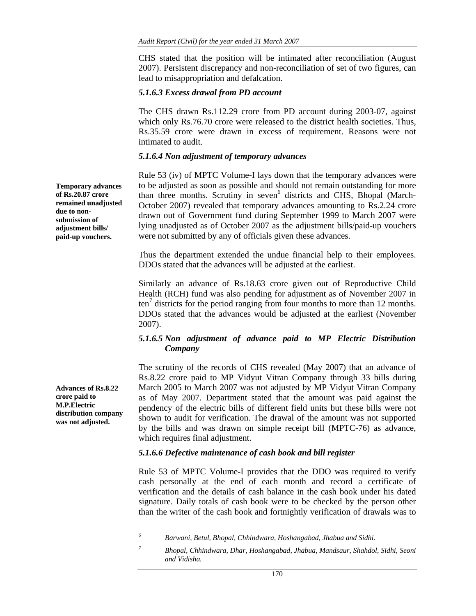CHS stated that the position will be intimated after reconciliation (August 2007). Persistent discrepancy and non-reconciliation of set of two figures, can lead to misappropriation and defalcation.

#### *5.1.6.3 Excess drawal from PD account*

The CHS drawn Rs.112.29 crore from PD account during 2003-07, against which only Rs.76.70 crore were released to the district health societies. Thus, Rs.35.59 crore were drawn in excess of requirement. Reasons were not intimated to audit.

#### *5.1.6.4 Non adjustment of temporary advances*

Rule 53 (iv) of MPTC Volume-I lays down that the temporary advances were to be adjusted as soon as possible and should not remain outstanding for more than three months. Scrutiny in seven<sup>6</sup> districts and CHS, Bhopal (March-October 2007) revealed that temporary advances amounting to Rs.2.24 crore drawn out of Government fund during September 1999 to March 2007 were lying unadjusted as of October 2007 as the adjustment bills/paid-up vouchers were not submitted by any of officials given these advances.

Thus the department extended the undue financial help to their employees. DDOs stated that the advances will be adjusted at the earliest.

Similarly an advance of Rs.18.63 crore given out of Reproductive Child Health (RCH) fund was also pending for adjustment as of November 2007 in  $\tan^7$  districts for the period ranging from four months to more than 12 months. DDOs stated that the advances would be adjusted at the earliest (November 2007).

### *5.1.6.5 Non adjustment of advance paid to MP Electric Distribution Company*

The scrutiny of the records of CHS revealed (May 2007) that an advance of Rs.8.22 crore paid to MP Vidyut Vitran Company through 33 bills during March 2005 to March 2007 was not adjusted by MP Vidyut Vitran Company as of May 2007. Department stated that the amount was paid against the pendency of the electric bills of different field units but these bills were not shown to audit for verification. The drawal of the amount was not supported by the bills and was drawn on simple receipt bill (MPTC-76) as advance, which requires final adjustment.

#### *5.1.6.6 Defective maintenance of cash book and bill register*

Rule 53 of MPTC Volume-I provides that the DDO was required to verify cash personally at the end of each month and record a certificate of verification and the details of cash balance in the cash book under his dated signature. Daily totals of cash book were to be checked by the person other than the writer of the cash book and fortnightly verification of drawals was to

**Temporary advances of Rs.20.87 crore remained unadjusted due to nonsubmission of adjustment bills/ paid-up vouchers.** 

**Advances of Rs.8.22 crore paid to M.P.Electric distribution company was not adjusted.** 

*<sup>6</sup> Barwani, Betul, Bhopal, Chhindwara, Hoshangabad, Jhabua and Sidhi.* 

*<sup>7</sup> Bhopal, Chhindwara, Dhar, Hoshangabad, Jhabua, Mandsaur, Shahdol, Sidhi, Seoni and Vidisha.*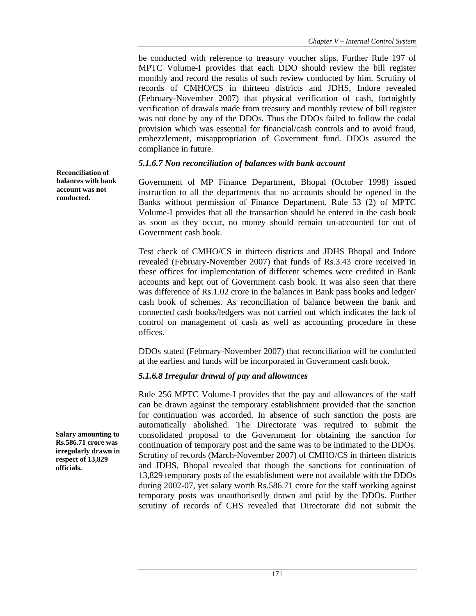be conducted with reference to treasury voucher slips. Further Rule 197 of MPTC Volume-I provides that each DDO should review the bill register monthly and record the results of such review conducted by him. Scrutiny of records of CMHO/CS in thirteen districts and JDHS, Indore revealed (February-November 2007) that physical verification of cash, fortnightly verification of drawals made from treasury and monthly review of bill register was not done by any of the DDOs. Thus the DDOs failed to follow the codal provision which was essential for financial/cash controls and to avoid fraud, embezzlement, misappropriation of Government fund. DDOs assured the compliance in future.

### *5.1.6.7 Non reconciliation of balances with bank account*

Government of MP Finance Department, Bhopal (October 1998) issued instruction to all the departments that no accounts should be opened in the Banks without permission of Finance Department. Rule 53 (2) of MPTC Volume-I provides that all the transaction should be entered in the cash book as soon as they occur, no money should remain un-accounted for out of Government cash book.

Test check of CMHO/CS in thirteen districts and JDHS Bhopal and Indore revealed (February-November 2007) that funds of Rs.3.43 crore received in these offices for implementation of different schemes were credited in Bank accounts and kept out of Government cash book. It was also seen that there was difference of Rs.1.02 crore in the balances in Bank pass books and ledger/ cash book of schemes*.* As reconciliation of balance between the bank and connected cash books/ledgers was not carried out which indicates the lack of control on management of cash as well as accounting procedure in these offices.

DDOs stated (February-November 2007) that reconciliation will be conducted at the earliest and funds will be incorporated in Government cash book.

### *5.1.6.8 Irregular drawal of pay and allowances*

Rule 256 MPTC Volume-I provides that the pay and allowances of the staff can be drawn against the temporary establishment provided that the sanction for continuation was accorded. In absence of such sanction the posts are automatically abolished. The Directorate was required to submit the consolidated proposal to the Government for obtaining the sanction for continuation of temporary post and the same was to be intimated to the DDOs. Scrutiny of records (March-November 2007) of CMHO/CS in thirteen districts and JDHS, Bhopal revealed that though the sanctions for continuation of 13,829 temporary posts of the establishment were not available with the DDOs during 2002-07, yet salary worth Rs.586.71 crore for the staff working against temporary posts was unauthorisedly drawn and paid by the DDOs. Further scrutiny of records of CHS revealed that Directorate did not submit the

**Salary amounting to** 

**Reconciliation of balances with bank account was not conducted.** 

**Rs.586.71 crore was irregularly drawn in respect of 13,829 officials.**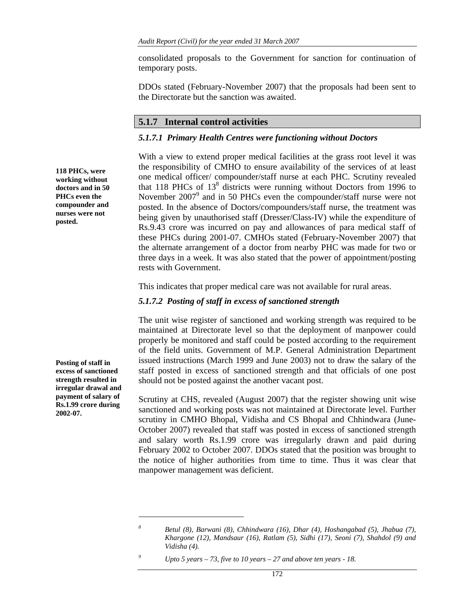consolidated proposals to the Government for sanction for continuation of temporary posts.

DDOs stated (February-November 2007) that the proposals had been sent to the Directorate but the sanction was awaited.

#### **5.1.7 Internal control activities**

#### *5.1.7.1 Primary Health Centres were functioning without Doctors*

With a view to extend proper medical facilities at the grass root level it was the responsibility of CMHO to ensure availability of the services of at least one medical officer/ compounder/staff nurse at each PHC. Scrutiny revealed that 118 PHCs of  $13<sup>8</sup>$  districts were running without Doctors from 1996 to November 2007<sup>9</sup> and in 50 PHCs even the compounder/staff nurse were not posted. In the absence of Doctors/compounders/staff nurse, the treatment was being given by unauthorised staff (Dresser/Class-IV) while the expenditure of Rs.9.43 crore was incurred on pay and allowances of para medical staff of these PHCs during 2001-07. CMHOs stated (February-November 2007) that the alternate arrangement of a doctor from nearby PHC was made for two or three days in a week. It was also stated that the power of appointment/posting rests with Government.

This indicates that proper medical care was not available for rural areas.

#### *5.1.7.2 Posting of staff in excess of sanctioned strength*

The unit wise register of sanctioned and working strength was required to be maintained at Directorate level so that the deployment of manpower could properly be monitored and staff could be posted according to the requirement of the field units. Government of M.P. General Administration Department issued instructions (March 1999 and June 2003) not to draw the salary of the staff posted in excess of sanctioned strength and that officials of one post should not be posted against the another vacant post.

Scrutiny at CHS, revealed (August 2007) that the register showing unit wise sanctioned and working posts was not maintained at Directorate level. Further scrutiny in CMHO Bhopal, Vidisha and CS Bhopal and Chhindwara (June-October 2007) revealed that staff was posted in excess of sanctioned strength and salary worth Rs.1.99 crore was irregularly drawn and paid during February 2002 to October 2007. DDOs stated that the position was brought to the notice of higher authorities from time to time. Thus it was clear that manpower management was deficient.

*9 Upto 5 years – 73, five to 10 years – 27 and above ten years - 18.* 

**118 PHCs, were working without doctors and in 50 PHCs even the compounder and nurses were not posted.** 

**Posting of staff in excess of sanctioned strength resulted in irregular drawal and payment of salary of Rs.1.99 crore during 2002-07.** 

*Betul (8), Barwani (8), Chhindwara (16), Dhar (4), Hoshangabad (5), Jhabua (7), Khargone (12), Mandsaur (16), Ratlam (5), Sidhi (17), Seoni (7), Shahdol (9) and Vidisha (4).*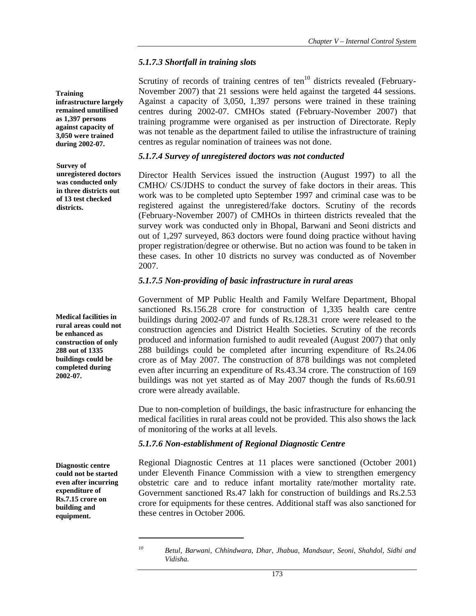### *5.1.7.3 Shortfall in training slots*

Scrutiny of records of training centres of ten $10$  districts revealed (February-November 2007) that 21 sessions were held against the targeted 44 sessions. Against a capacity of 3,050, 1,397 persons were trained in these training centres during 2002-07. CMHOs stated (February-November 2007) that training programme were organised as per instruction of Directorate. Reply was not tenable as the department failed to utilise the infrastructure of training centres as regular nomination of trainees was not done.

### *5.1.7.4 Survey of unregistered doctors was not conducted*

Director Health Services issued the instruction (August 1997) to all the CMHO/ CS/JDHS to conduct the survey of fake doctors in their areas. This work was to be completed upto September 1997 and criminal case was to be registered against the unregistered/fake doctors. Scrutiny of the records (February-November 2007) of CMHOs in thirteen districts revealed that the survey work was conducted only in Bhopal, Barwani and Seoni districts and out of 1,297 surveyed, 863 doctors were found doing practice without having proper registration/degree or otherwise. But no action was found to be taken in these cases. In other 10 districts no survey was conducted as of November 2007.

### *5.1.7.5 Non-providing of basic infrastructure in rural areas*

Government of MP Public Health and Family Welfare Department, Bhopal sanctioned Rs.156.28 crore for construction of 1,335 health care centre buildings during 2002-07 and funds of Rs.128.31 crore were released to the construction agencies and District Health Societies. Scrutiny of the records produced and information furnished to audit revealed (August 2007) that only 288 buildings could be completed after incurring expenditure of Rs.24.06 crore as of May 2007. The construction of 878 buildings was not completed even after incurring an expenditure of Rs.43.34 crore. The construction of 169 buildings was not yet started as of May 2007 though the funds of Rs.60.91 crore were already available.

Due to non-completion of buildings, the basic infrastructure for enhancing the medical facilities in rural areas could not be provided. This also shows the lack of monitoring of the works at all levels.

### *5.1.7.6 Non-establishment of Regional Diagnostic Centre*

Regional Diagnostic Centres at 11 places were sanctioned (October 2001) under Eleventh Finance Commission with a view to strengthen emergency obstetric care and to reduce infant mortality rate/mother mortality rate. Government sanctioned Rs.47 lakh for construction of buildings and Rs.2.53 crore for equipments for these centres. Additional staff was also sanctioned for these centres in October 2006.

**Training infrastructure largely remained unutilised as 1,397 persons against capacity of 3,050 were trained during 2002-07.** 

**Survey of unregistered doctors was conducted only in three districts out of 13 test checked districts.** 

**Medical facilities in rural areas could not be enhanced as construction of only 288 out of 1335 buildings could be completed during 2002-07.** 

**Diagnostic centre could not be started even after incurring expenditure of Rs.7.15 crore on building and equipment.** 

*<sup>10</sup> Betul, Barwani, Chhindwara, Dhar, Jhabua, Mandsaur, Seoni, Shahdol, Sidhi and Vidisha.*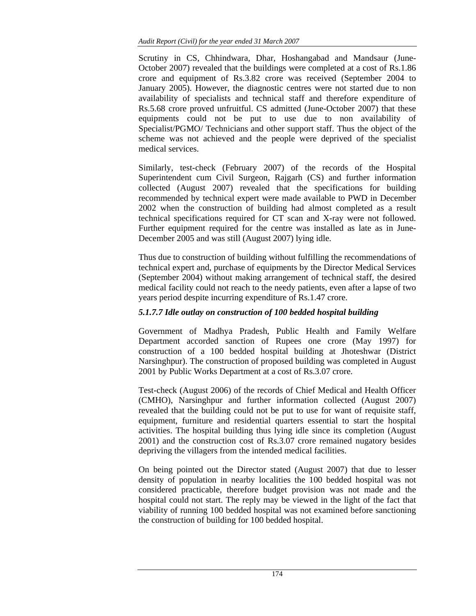Scrutiny in CS, Chhindwara, Dhar, Hoshangabad and Mandsaur (June-October 2007) revealed that the buildings were completed at a cost of Rs.1.86 crore and equipment of Rs.3.82 crore was received (September 2004 to January 2005). However, the diagnostic centres were not started due to non availability of specialists and technical staff and therefore expenditure of Rs.5.68 crore proved unfruitful. CS admitted (June-October 2007) that these equipments could not be put to use due to non availability of Specialist/PGMO/ Technicians and other support staff. Thus the object of the scheme was not achieved and the people were deprived of the specialist medical services.

Similarly, test-check (February 2007) of the records of the Hospital Superintendent cum Civil Surgeon, Rajgarh (CS) and further information collected (August 2007) revealed that the specifications for building recommended by technical expert were made available to PWD in December 2002 when the construction of building had almost completed as a result technical specifications required for CT scan and X-ray were not followed. Further equipment required for the centre was installed as late as in June-December 2005 and was still (August 2007) lying idle.

Thus due to construction of building without fulfilling the recommendations of technical expert and, purchase of equipments by the Director Medical Services (September 2004) without making arrangement of technical staff, the desired medical facility could not reach to the needy patients, even after a lapse of two years period despite incurring expenditure of Rs.1.47 crore.

# *5.1.7.7 Idle outlay on construction of 100 bedded hospital building*

Government of Madhya Pradesh, Public Health and Family Welfare Department accorded sanction of Rupees one crore (May 1997) for construction of a 100 bedded hospital building at Jhoteshwar (District Narsinghpur). The construction of proposed building was completed in August 2001 by Public Works Department at a cost of Rs.3.07 crore.

Test-check (August 2006) of the records of Chief Medical and Health Officer (CMHO), Narsinghpur and further information collected (August 2007) revealed that the building could not be put to use for want of requisite staff, equipment, furniture and residential quarters essential to start the hospital activities. The hospital building thus lying idle since its completion (August 2001) and the construction cost of Rs.3.07 crore remained nugatory besides depriving the villagers from the intended medical facilities.

On being pointed out the Director stated (August 2007) that due to lesser density of population in nearby localities the 100 bedded hospital was not considered practicable, therefore budget provision was not made and the hospital could not start. The reply may be viewed in the light of the fact that viability of running 100 bedded hospital was not examined before sanctioning the construction of building for 100 bedded hospital.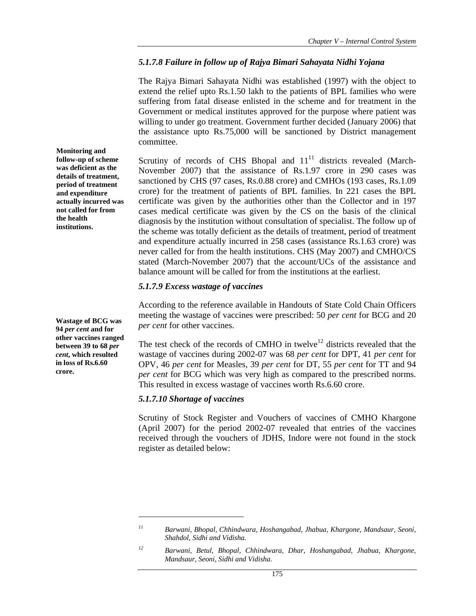### *5.1.7.8 Failure in follow up of Rajya Bimari Sahayata Nidhi Yojana*

The Rajya Bimari Sahayata Nidhi was established (1997) with the object to extend the relief upto Rs.1.50 lakh to the patients of BPL families who were suffering from fatal disease enlisted in the scheme and for treatment in the Government or medical institutes approved for the purpose where patient was willing to under go treatment. Government further decided (January 2006) that the assistance upto Rs.75,000 will be sanctioned by District management committee.

Scrutiny of records of CHS Bhopal and  $11<sup>11</sup>$  districts revealed (March-November 2007) that the assistance of Rs.1.97 crore in 290 cases was sanctioned by CHS (97 cases, Rs.0.88 crore) and CMHOs (193 cases, Rs.1.09 crore) for the treatment of patients of BPL families. In 221 cases the BPL certificate was given by the authorities other than the Collector and in 197 cases medical certificate was given by the CS on the basis of the clinical diagnosis by the institution without consultation of specialist. The follow up of the scheme was totally deficient as the details of treatment, period of treatment and expenditure actually incurred in 258 cases (assistance Rs.1.63 crore) was never called for from the health institutions. CHS (May 2007) and CMHO/CS stated (March-November 2007) that the account/UCs of the assistance and balance amount will be called for from the institutions at the earliest.

### *5.1.7.9 Excess wastage of vaccines*

According to the reference available in Handouts of State Cold Chain Officers meeting the wastage of vaccines were prescribed: 50 *per cent* for BCG and 20 *per cent* for other vaccines.

The test check of the records of CMHO in twelve<sup>12</sup> districts revealed that the wastage of vaccines during 2002-07 was 68 *per cent* for DPT, 41 *per cent* for OPV, 46 *per cent* for Measles, 39 *per cent* for DT, 55 *per cent* for TT and 94 *per cent* for BCG which was very high as compared to the prescribed norms. This resulted in excess wastage of vaccines worth Rs.6.60 crore.

### *5.1.7.10 Shortage of vaccines*

 $\overline{a}$ 

Scrutiny of Stock Register and Vouchers of vaccines of CMHO Khargone (April 2007) for the period 2002-07 revealed that entries of the vaccines received through the vouchers of JDHS, Indore were not found in the stock register as detailed below:

**Monitoring and follow-up of scheme was deficient as the details of treatment, period of treatment and expenditure actually incurred was not called for from the health institutions.** 

**Wastage of BCG was 94** *per cent* **and for other vaccines ranged between 39 to 68** *per cent***, which resulted in loss of Rs.6.60 crore.** 

*<sup>11</sup> Barwani, Bhopal, Chhindwara, Hoshangabad, Jhabua, Khargone, Mandsaur, Seoni, Shahdol, Sidhi and Vidisha.* 

*<sup>12</sup> Barwani, Betul, Bhopal, Chhindwara, Dhar, Hoshangabad, Jhabua, Khargone, Mandsaur, Seoni, Sidhi and Vidisha.*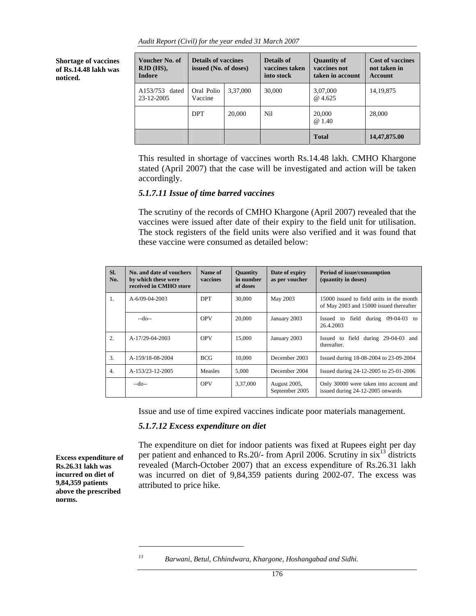*Audit Report (Civil) for the year ended 31 March 2007* 

**Shortage of vaccines of Rs.14.48 lakh was noticed.** 

| Voucher No. of<br>RJD (HS),<br><b>Indore</b> | <b>Details of vaccines</b><br>issued (No. of doses) |          | Details of<br>vaccines taken<br>into stock | <b>Quantity of</b><br>vaccines not<br>taken in account | <b>Cost of vaccines</b><br>not taken in<br><b>Account</b> |
|----------------------------------------------|-----------------------------------------------------|----------|--------------------------------------------|--------------------------------------------------------|-----------------------------------------------------------|
| A153/753<br>dated<br>23-12-2005              | Oral Polio<br>Vaccine                               | 3.37,000 | 30,000                                     | 3,07,000<br>@ 4.625                                    | 14, 19, 875                                               |
|                                              | <b>DPT</b>                                          | 20,000   | Nil                                        | 20,000<br>@ 1.40                                       | 28,000                                                    |
|                                              |                                                     |          |                                            | <b>Total</b>                                           | 14,47,875.00                                              |

This resulted in shortage of vaccines worth Rs.14.48 lakh. CMHO Khargone stated (April 2007) that the case will be investigated and action will be taken accordingly.

#### *5.1.7.11 Issue of time barred vaccines*

The scrutiny of the records of CMHO Khargone (April 2007) revealed that the vaccines were issued after date of their expiry to the field unit for utilisation. The stock registers of the field units were also verified and it was found that these vaccine were consumed as detailed below:

| SI.<br>No.       | No. and date of vouchers<br>by which these were<br>received in CMHO store | Name of<br>vaccines | <b>Quantity</b><br>in number<br>of doses | Date of expiry<br>as per voucher | <b>Period of issue/consumption</b><br>(quantity in doses)                           |
|------------------|---------------------------------------------------------------------------|---------------------|------------------------------------------|----------------------------------|-------------------------------------------------------------------------------------|
| $\overline{1}$ . | $A-6/09-04-2003$                                                          | <b>DPT</b>          | 30,000                                   | May 2003                         | 15000 issued to field units in the month<br>of May 2003 and 15000 issued thereafter |
|                  | $-do-$                                                                    | <b>OPV</b>          | 20,000                                   | January 2003                     | field during $09-04-03$ to<br>Issued to<br>26.4.2003                                |
| 2.               | A-17/29-04-2003                                                           | <b>OPV</b>          | 15,000                                   | January 2003                     | Issued to field during 29-04-03 and<br>thereafter.                                  |
| $\overline{3}$ . | A-159/18-08-2004                                                          | <b>BCG</b>          | 10.000                                   | December 2003                    | Issued during 18-08-2004 to 23-09-2004                                              |
| $\overline{4}$ . | A-153/23-12-2005                                                          | <b>Measles</b>      | 5.000                                    | December 2004                    | Issued during 24-12-2005 to 25-01-2006                                              |
|                  | $-do-$                                                                    | <b>OPV</b>          | 3,37,000                                 | August 2005,<br>September 2005   | Only 30000 were taken into account and<br>issued during 24-12-2005 onwards          |

Issue and use of time expired vaccines indicate poor materials management.

#### *5.1.7.12 Excess expenditure on diet*

**Excess expenditure of Rs.26.31 lakh was incurred on diet of 9,84,359 patients above the prescribed norms.**

The expenditure on diet for indoor patients was fixed at Rupees eight per day per patient and enhanced to Rs.20/- from April 2006. Scrutiny in  $\sin^{13}$  districts revealed (March-October 2007) that an excess expenditure of Rs.26.31 lakh was incurred on diet of 9,84,359 patients during 2002-07. The excess was attributed to price hike.

*<sup>13</sup> Barwani, Betul, Chhindwara, Khargone, Hoshangabad and Sidhi.*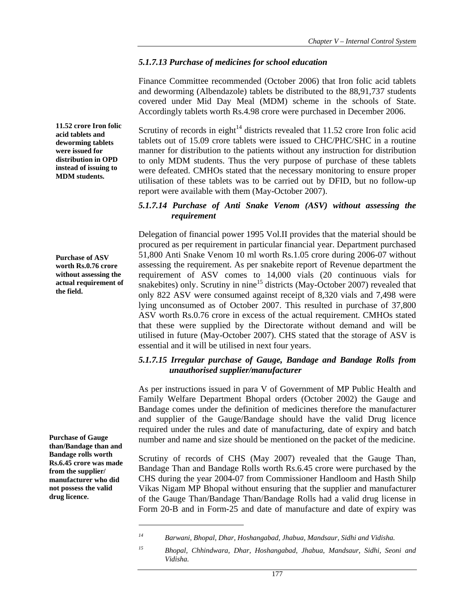### *5.1.7.13 Purchase of medicines for school education*

Finance Committee recommended (October 2006) that Iron folic acid tablets and deworming (Albendazole) tablets be distributed to the 88,91,737 students covered under Mid Day Meal (MDM) scheme in the schools of State. Accordingly tablets worth Rs.4.98 crore were purchased in December 2006.

Scrutiny of records in eight<sup>14</sup> districts revealed that  $11.52$  crore Iron folic acid tablets out of 15.09 crore tablets were issued to CHC/PHC/SHC in a routine manner for distribution to the patients without any instruction for distribution to only MDM students. Thus the very purpose of purchase of these tablets were defeated. CMHOs stated that the necessary monitoring to ensure proper utilisation of these tablets was to be carried out by DFID, but no follow-up report were available with them (May-October 2007).

### *5.1.7.14 Purchase of Anti Snake Venom (ASV) without assessing the requirement*

Delegation of financial power 1995 Vol.II provides that the material should be procured as per requirement in particular financial year. Department purchased 51,800 Anti Snake Venom 10 ml worth Rs.1.05 crore during 2006-07 without assessing the requirement. As per snakebite report of Revenue department the requirement of ASV comes to 14,000 vials (20 continuous vials for snakebites) only. Scrutiny in nine<sup>15</sup> districts (May-October 2007) revealed that only 822 ASV were consumed against receipt of 8,320 vials and 7,498 were lying unconsumed as of October 2007. This resulted in purchase of 37,800 ASV worth Rs.0.76 crore in excess of the actual requirement. CMHOs stated that these were supplied by the Directorate without demand and will be utilised in future (May-October 2007). CHS stated that the storage of ASV is essential and it will be utilised in next four years.

### *5.1.7.15 Irregular purchase of Gauge, Bandage and Bandage Rolls from unauthorised supplier/manufacturer*

As per instructions issued in para V of Government of MP Public Health and Family Welfare Department Bhopal orders (October 2002) the Gauge and Bandage comes under the definition of medicines therefore the manufacturer and supplier of the Gauge/Bandage should have the valid Drug licence required under the rules and date of manufacturing, date of expiry and batch number and name and size should be mentioned on the packet of the medicine.

Scrutiny of records of CHS (May 2007) revealed that the Gauge Than, Bandage Than and Bandage Rolls worth Rs.6.45 crore were purchased by the CHS during the year 2004-07 from Commissioner Handloom and Hasth Shilp Vikas Nigam MP Bhopal without ensuring that the supplier and manufacturer of the Gauge Than/Bandage Than/Bandage Rolls had a valid drug license in Form 20-B and in Form-25 and date of manufacture and date of expiry was

**11.52 crore Iron folic acid tablets and deworming tablets were issued for distribution in OPD instead of issuing to MDM students.** 

**Purchase of ASV worth Rs.0.76 crore without assessing the actual requirement of the field.**

**Purchase of Gauge than/Bandage than and Bandage rolls worth Rs.6.45 crore was made from the supplier/ manufacturer who did not possess the valid drug licence.**

*<sup>14</sup> Barwani, Bhopal, Dhar, Hoshangabad, Jhabua, Mandsaur, Sidhi and Vidisha.* 

*<sup>15</sup> Bhopal, Chhindwara, Dhar, Hoshangabad, Jhabua, Mandsaur, Sidhi, Seoni and Vidisha.*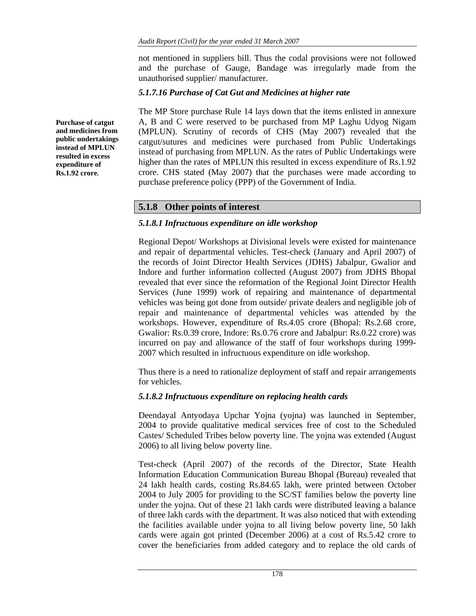not mentioned in suppliers bill. Thus the codal provisions were not followed and the purchase of Gauge, Bandage was irregularly made from the unauthorised supplier/ manufacturer.

## *5.1.7.16 Purchase of Cat Gut and Medicines at higher rate*

The MP Store purchase Rule 14 lays down that the items enlisted in annexure A, B and C were reserved to be purchased from MP Laghu Udyog Nigam (MPLUN). Scrutiny of records of CHS (May 2007) revealed that the catgut/sutures and medicines were purchased from Public Undertakings instead of purchasing from MPLUN. As the rates of Public Undertakings were higher than the rates of MPLUN this resulted in excess expenditure of Rs.1.92 crore. CHS stated (May 2007) that the purchases were made according to purchase preference policy (PPP) of the Government of India.

# **5.1.8 Other points of interest**

### *5.1.8.1 Infructuous expenditure on idle workshop*

Regional Depot/ Workshops at Divisional levels were existed for maintenance and repair of departmental vehicles. Test-check (January and April 2007) of the records of Joint Director Health Services (JDHS) Jabalpur, Gwalior and Indore and further information collected (August 2007) from JDHS Bhopal revealed that ever since the reformation of the Regional Joint Director Health Services (June 1999) work of repairing and maintenance of departmental vehicles was being got done from outside/ private dealers and negligible job of repair and maintenance of departmental vehicles was attended by the workshops. However, expenditure of Rs.4.05 crore (Bhopal: Rs.2.68 crore, Gwalior: Rs.0.39 crore, Indore: Rs.0.76 crore and Jabalpur: Rs.0.22 crore) was incurred on pay and allowance of the staff of four workshops during 1999- 2007 which resulted in infructuous expenditure on idle workshop.

Thus there is a need to rationalize deployment of staff and repair arrangements for vehicles.

# *5.1.8.2 Infructuous expenditure on replacing health cards*

Deendayal Antyodaya Upchar Yojna (yojna) was launched in September, 2004 to provide qualitative medical services free of cost to the Scheduled Castes/ Scheduled Tribes below poverty line. The yojna was extended (August 2006) to all living below poverty line.

Test-check (April 2007) of the records of the Director, State Health Information Education Communication Bureau Bhopal (Bureau) revealed that 24 lakh health cards, costing Rs.84.65 lakh, were printed between October 2004 to July 2005 for providing to the SC/ST families below the poverty line under the yojna. Out of these 21 lakh cards were distributed leaving a balance of three lakh cards with the department. It was also noticed that with extending the facilities available under yojna to all living below poverty line, 50 lakh cards were again got printed (December 2006) at a cost of Rs.5.42 crore to cover the beneficiaries from added category and to replace the old cards of

**Purchase of catgut and medicines from public undertakings instead of MPLUN resulted in excess expenditure of Rs.1.92 crore.**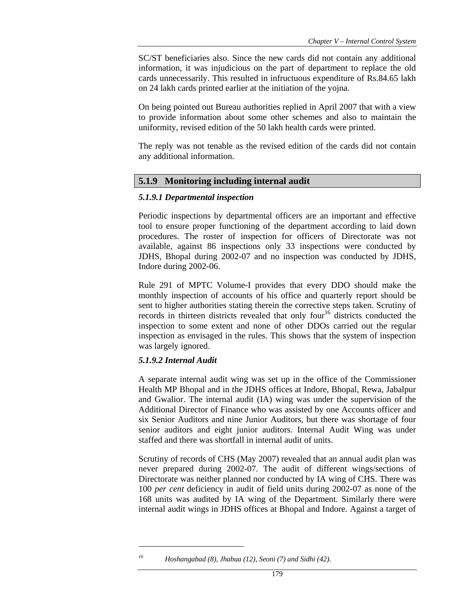SC/ST beneficiaries also. Since the new cards did not contain any additional information, it was injudicious on the part of department to replace the old cards unnecessarily. This resulted in infructuous expenditure of Rs.84.65 lakh on 24 lakh cards printed earlier at the initiation of the yojna.

On being pointed out Bureau authorities replied in April 2007 that with a view to provide information about some other schemes and also to maintain the uniformity, revised edition of the 50 lakh health cards were printed.

The reply was not tenable as the revised edition of the cards did not contain any additional information.

# **5.1.9 Monitoring including internal audit**

### *5.1.9.1 Departmental inspection*

Periodic inspections by departmental officers are an important and effective tool to ensure proper functioning of the department according to laid down procedures. The roster of inspection for officers of Directorate was not available, against 86 inspections only 33 inspections were conducted by JDHS, Bhopal during 2002-07 and no inspection was conducted by JDHS, Indore during 2002-06.

Rule 291 of MPTC Volume-I provides that every DDO should make the monthly inspection of accounts of his office and quarterly report should be sent to higher authorities stating therein the corrective steps taken. Scrutiny of records in thirteen districts revealed that only four<sup>16</sup> districts conducted the inspection to some extent and none of other DDOs carried out the regular inspection as envisaged in the rules. This shows that the system of inspection was largely ignored.

### *5.1.9.2 Internal Audit*

 $\overline{a}$ 

A separate internal audit wing was set up in the office of the Commissioner Health MP Bhopal and in the JDHS offices at Indore, Bhopal, Rewa, Jabalpur and Gwalior. The internal audit (IA) wing was under the supervision of the Additional Director of Finance who was assisted by one Accounts officer and six Senior Auditors and nine Junior Auditors, but there was shortage of four senior auditors and eight junior auditors. Internal Audit Wing was under staffed and there was shortfall in internal audit of units.

Scrutiny of records of CHS (May 2007) revealed that an annual audit plan was never prepared during 2002-07. The audit of different wings/sections of Directorate was neither planned nor conducted by IA wing of CHS. There was 100 *per cent* deficiency in audit of field units during 2002-07 as none of the 168 units was audited by IA wing of the Department. Similarly there were internal audit wings in JDHS offices at Bhopal and Indore. Against a target of

*<sup>16</sup> Hoshangabad (8), Jhabua (12), Seoni (7) and Sidhi (42).*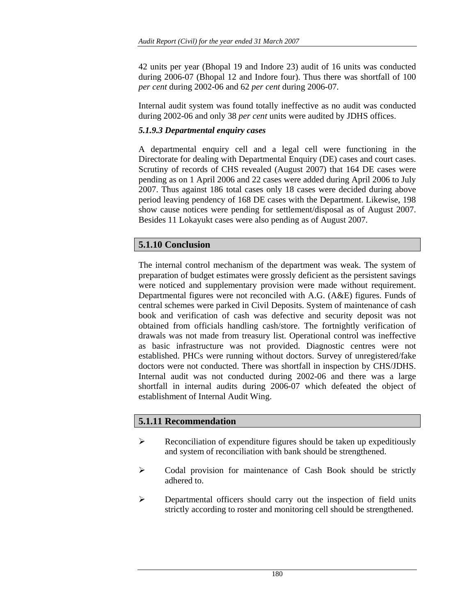42 units per year (Bhopal 19 and Indore 23) audit of 16 units was conducted during 2006-07 (Bhopal 12 and Indore four). Thus there was shortfall of 100 *per cent* during 2002-06 and 62 *per cent* during 2006-07.

Internal audit system was found totally ineffective as no audit was conducted during 2002-06 and only 38 *per cent* units were audited by JDHS offices.

### *5.1.9.3 Departmental enquiry cases*

A departmental enquiry cell and a legal cell were functioning in the Directorate for dealing with Departmental Enquiry (DE) cases and court cases. Scrutiny of records of CHS revealed (August 2007) that 164 DE cases were pending as on 1 April 2006 and 22 cases were added during April 2006 to July 2007. Thus against 186 total cases only 18 cases were decided during above period leaving pendency of 168 DE cases with the Department. Likewise, 198 show cause notices were pending for settlement/disposal as of August 2007. Besides 11 Lokayukt cases were also pending as of August 2007.

# **5.1.10 Conclusion**

The internal control mechanism of the department was weak. The system of preparation of budget estimates were grossly deficient as the persistent savings were noticed and supplementary provision were made without requirement. Departmental figures were not reconciled with A.G. (A&E) figures. Funds of central schemes were parked in Civil Deposits. System of maintenance of cash book and verification of cash was defective and security deposit was not obtained from officials handling cash/store. The fortnightly verification of drawals was not made from treasury list. Operational control was ineffective as basic infrastructure was not provided. Diagnostic centres were not established. PHCs were running without doctors. Survey of unregistered/fake doctors were not conducted. There was shortfall in inspection by CHS/JDHS. Internal audit was not conducted during 2002-06 and there was a large shortfall in internal audits during 2006-07 which defeated the object of establishment of Internal Audit Wing.

# **5.1.11 Recommendation**

- $\triangleright$  Reconciliation of expenditure figures should be taken up expeditiously and system of reconciliation with bank should be strengthened.
- ¾ Codal provision for maintenance of Cash Book should be strictly adhered to.
- ¾ Departmental officers should carry out the inspection of field units strictly according to roster and monitoring cell should be strengthened.